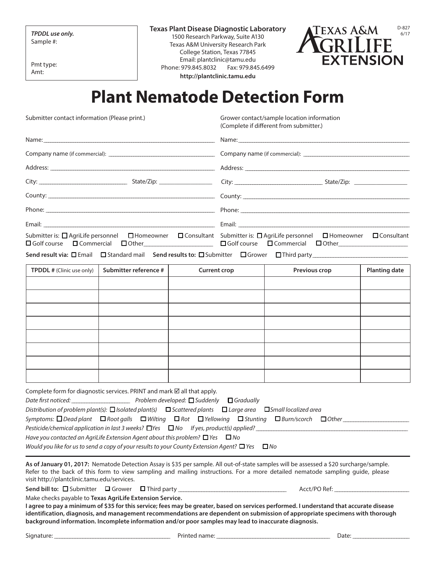Sample #:

Pmt type: Amt:

**Texas Plant Disease Diagnostic Laboratory** TPDDL use only. **The Community of the Community Community** of the Community of the Community of the Community of the Community of the Community of the Community of the Community of the Community of the Community of the Com Texas A&M University Research Park College Station, Texas 77845 Email: plantclinic@tamu.edu Phone: 979.845.8032 Fax: 979.845.6499 **<http://plantclinic.tamu.edu>**



## **Plant Nematode Detection Form**

Submitter contact information (Please print.)

Grower contact/sample location information (Complete if different from submitter.)

| Submitter is: $\Box$ AgriLife personnel $\Box$ Homeowner $\Box$ Consultant Submitter is: $\Box$ AgriLife personnel | $\Box$ Homeowner $\Box$ Consultant<br>□Golf course □ Commercial □ Other___________________________ □ Golf course □ Commercial □ Other_____________________ |  |  |
|--------------------------------------------------------------------------------------------------------------------|------------------------------------------------------------------------------------------------------------------------------------------------------------|--|--|
|                                                                                                                    |                                                                                                                                                            |  |  |

**Send result via: □** Email □ Standard mail Send results to: □ Submitter □ Grower □ Third party

| <b>TPDDL</b> # (Clinic use only) | Submitter reference # | <b>Current crop</b> | Previous crop | <b>Planting date</b> |
|----------------------------------|-----------------------|---------------------|---------------|----------------------|
|                                  |                       |                     |               |                      |
|                                  |                       |                     |               |                      |
|                                  |                       |                     |               |                      |
|                                  |                       |                     |               |                      |
|                                  |                       |                     |               |                      |
|                                  |                       |                     |               |                      |
|                                  |                       |                     |               |                      |
|                                  |                       |                     |               |                      |

| Complete form for diagnostic services. PRINT and mark $\boxtimes$ all that apply.                         |                                                                                                                                  |  |  |
|-----------------------------------------------------------------------------------------------------------|----------------------------------------------------------------------------------------------------------------------------------|--|--|
|                                                                                                           |                                                                                                                                  |  |  |
|                                                                                                           | Distribution of problem plant(s): $\Box$ Isolated plant(s) $\Box$ Scattered plants $\Box$ Large area $\Box$ Small localized area |  |  |
|                                                                                                           |                                                                                                                                  |  |  |
| Pesticide/chemical application in last 3 weeks? $\Box$ Yes $\Box$ No If yes, product(s) applied?          |                                                                                                                                  |  |  |
| Have you contacted an AgriLife Extension Agent about this problem? $\Box$ Yes $\Box$ No                   |                                                                                                                                  |  |  |
| Would you like for us to send a copy of your results to your County Extension Agent? $\Box$ Yes $\Box$ No |                                                                                                                                  |  |  |

**As of January 01, 2017:** Nematode Detection Assay is \$35 per sample. All out-of-state samples will be assessed a \$20 surcharge/sample. Refer to the back of this form to view sampling and mailing instructions. For a more detailed nematode sampling guide, please visit <http://plantclinic.tamu.edu/services>.

**Send bill to:** ¨ Submitter ¨ Grower ¨ Third party \_\_\_\_\_\_\_\_\_\_\_\_\_\_\_\_\_\_\_\_\_\_\_\_\_\_\_\_\_\_\_\_\_\_\_\_\_\_\_\_\_\_ Acct/PO Ref: \_\_\_\_\_\_\_\_\_\_\_\_\_\_\_\_\_\_\_\_\_\_\_\_\_\_\_\_\_

Make checks payable to **Texas AgriLife Extension Service.**

**I agree to pay a minimum of \$35 for this service; fees may be greater, based on services performed. I understand that accurate disease identification, diagnosis, and management recommendations are dependent on submission of appropriate specimens with thorough background information. Incomplete information and/or poor samples may lead to inaccurate diagnosis.**